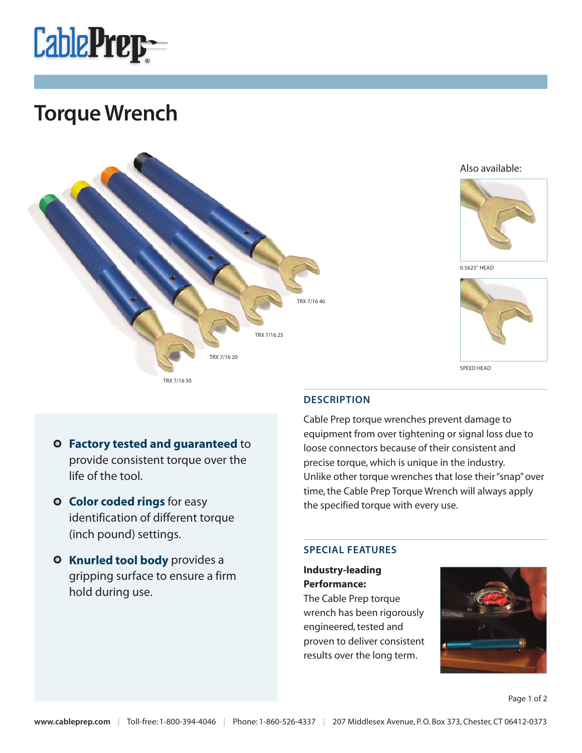

## **Torque Wrench**



Also available:



0.5625" HEAD



- **Factory tested and guaranteed** to provide consistent torque over the life of the tool.
- **O** Color coded rings for easy identification of different torque (inch pound) settings.
- **O** Knurled tool body provides a gripping surface to ensure a firm hold during use.

### **DESCRIPTION**

Cable Prep torque wrenches prevent damage to equipment from over tightening or signal loss due to loose connectors because of their consistent and precise torque, which is unique in the industry. Unlike other torque wrenches that lose their "snap" over time, the Cable Prep Torque Wrench will always apply the specified torque with every use.

### **SPECIAL FEATURES**

### **Industry-leading Performance:**

The Cable Prep torque wrench has been rigorously engineered, tested and proven to deliver consistent results over the long term.



Page 1 of 2